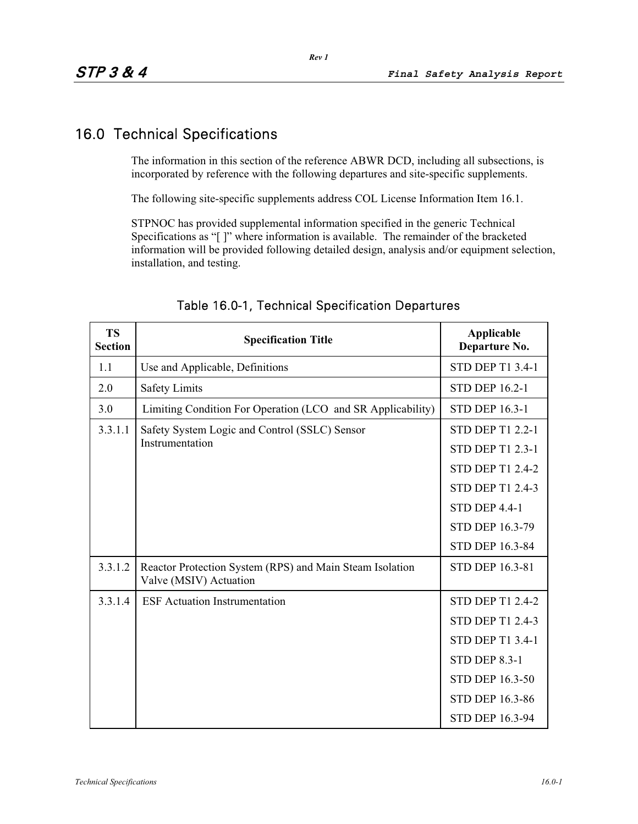### 16.0 Technical Specifications

The information in this section of the reference ABWR DCD, including all subsections, is incorporated by reference with the following departures and site-specific supplements.

The following site-specific supplements address COL License Information Item 16.1.

STPNOC has provided supplemental information specified in the generic Technical Specifications as "[ ]" where information is available. The remainder of the bracketed information will be provided following detailed design, analysis and/or equipment selection, installation, and testing.

| <b>TS</b><br><b>Section</b> | <b>Specification Title</b>                                                         | Applicable<br>Departure No. |
|-----------------------------|------------------------------------------------------------------------------------|-----------------------------|
| 1.1                         | Use and Applicable, Definitions                                                    | <b>STD DEP T1 3.4-1</b>     |
| 2.0                         | <b>Safety Limits</b>                                                               | <b>STD DEP 16.2-1</b>       |
| 3.0                         | Limiting Condition For Operation (LCO and SR Applicability)                        | <b>STD DEP 16.3-1</b>       |
| 3.3.1.1                     | Safety System Logic and Control (SSLC) Sensor                                      | <b>STD DEP T1 2.2-1</b>     |
|                             | Instrumentation                                                                    | <b>STD DEP T1 2.3-1</b>     |
|                             |                                                                                    | <b>STD DEP T1 2.4-2</b>     |
|                             |                                                                                    | <b>STD DEP T1 2.4-3</b>     |
|                             |                                                                                    | <b>STD DEP 4.4-1</b>        |
|                             |                                                                                    | STD DEP 16.3-79             |
|                             |                                                                                    | <b>STD DEP 16.3-84</b>      |
| 3.3.1.2                     | Reactor Protection System (RPS) and Main Steam Isolation<br>Valve (MSIV) Actuation | <b>STD DEP 16.3-81</b>      |
| 3.3.1.4                     | <b>ESF</b> Actuation Instrumentation                                               | <b>STD DEP T1 2.4-2</b>     |
|                             |                                                                                    | <b>STD DEP T1 2.4-3</b>     |
|                             |                                                                                    | <b>STD DEP T1 3.4-1</b>     |
|                             |                                                                                    | <b>STD DEP 8.3-1</b>        |
|                             |                                                                                    | <b>STD DEP 16.3-50</b>      |
|                             |                                                                                    | <b>STD DEP 16.3-86</b>      |
|                             |                                                                                    | <b>STD DEP 16.3-94</b>      |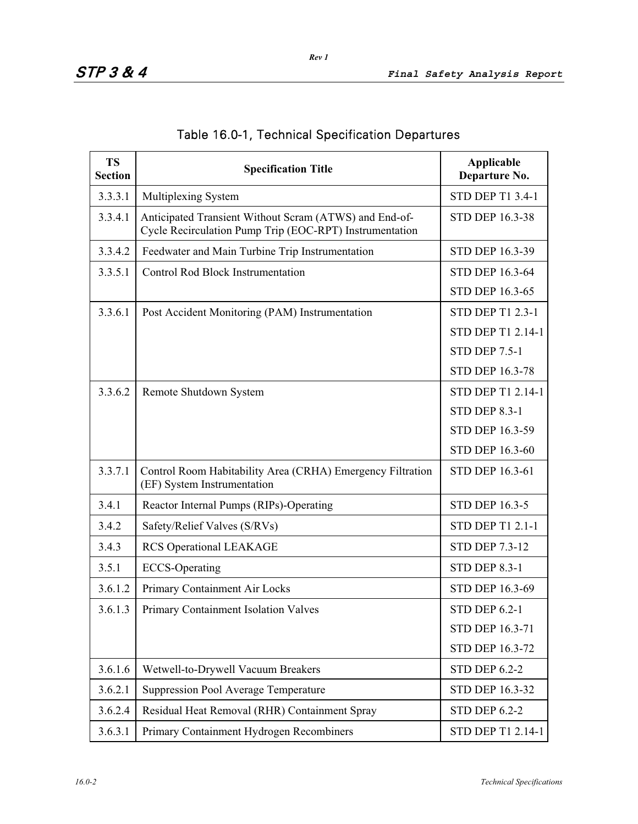| <b>TS</b><br><b>Section</b> | <b>Specification Title</b>                                                                                        | Applicable<br>Departure No. |
|-----------------------------|-------------------------------------------------------------------------------------------------------------------|-----------------------------|
| 3.3.3.1                     | Multiplexing System                                                                                               | STD DEP T1 3.4-1            |
| 3.3.4.1                     | Anticipated Transient Without Scram (ATWS) and End-of-<br>Cycle Recirculation Pump Trip (EOC-RPT) Instrumentation | <b>STD DEP 16.3-38</b>      |
| 3.3.4.2                     | Feedwater and Main Turbine Trip Instrumentation                                                                   | STD DEP 16.3-39             |
| 3.3.5.1                     | <b>Control Rod Block Instrumentation</b>                                                                          | STD DEP 16.3-64             |
|                             |                                                                                                                   | STD DEP 16.3-65             |
| 3.3.6.1                     | Post Accident Monitoring (PAM) Instrumentation                                                                    | <b>STD DEP T1 2.3-1</b>     |
|                             |                                                                                                                   | STD DEP T1 2.14-1           |
|                             |                                                                                                                   | <b>STD DEP 7.5-1</b>        |
|                             |                                                                                                                   | <b>STD DEP 16.3-78</b>      |
| 3.3.6.2                     | Remote Shutdown System                                                                                            | STD DEP T1 2.14-1           |
|                             |                                                                                                                   | <b>STD DEP 8.3-1</b>        |
|                             |                                                                                                                   | STD DEP 16.3-59             |
|                             |                                                                                                                   | STD DEP 16.3-60             |
| 3.3.7.1                     | Control Room Habitability Area (CRHA) Emergency Filtration<br>(EF) System Instrumentation                         | STD DEP 16.3-61             |
| 3.4.1                       | Reactor Internal Pumps (RIPs)-Operating                                                                           | <b>STD DEP 16.3-5</b>       |
| 3.4.2                       | Safety/Relief Valves (S/RVs)                                                                                      | <b>STD DEP T1 2.1-1</b>     |
| 3.4.3                       | RCS Operational LEAKAGE                                                                                           | <b>STD DEP 7.3-12</b>       |
| 3.5.1                       | <b>ECCS-Operating</b>                                                                                             | <b>STD DEP 8.3-1</b>        |
| 3.6.1.2                     | Primary Containment Air Locks                                                                                     | <b>STD DEP 16.3-69</b>      |
| 3.6.1.3                     | Primary Containment Isolation Valves                                                                              | <b>STD DEP 6.2-1</b>        |
|                             |                                                                                                                   | STD DEP 16.3-71             |
|                             |                                                                                                                   | <b>STD DEP 16.3-72</b>      |
| 3.6.1.6                     | Wetwell-to-Drywell Vacuum Breakers                                                                                | <b>STD DEP 6.2-2</b>        |
| 3.6.2.1                     | <b>Suppression Pool Average Temperature</b>                                                                       | STD DEP 16.3-32             |
| 3.6.2.4                     | Residual Heat Removal (RHR) Containment Spray                                                                     | <b>STD DEP 6.2-2</b>        |
| 3.6.3.1                     | Primary Containment Hydrogen Recombiners                                                                          | STD DEP T1 2.14-1           |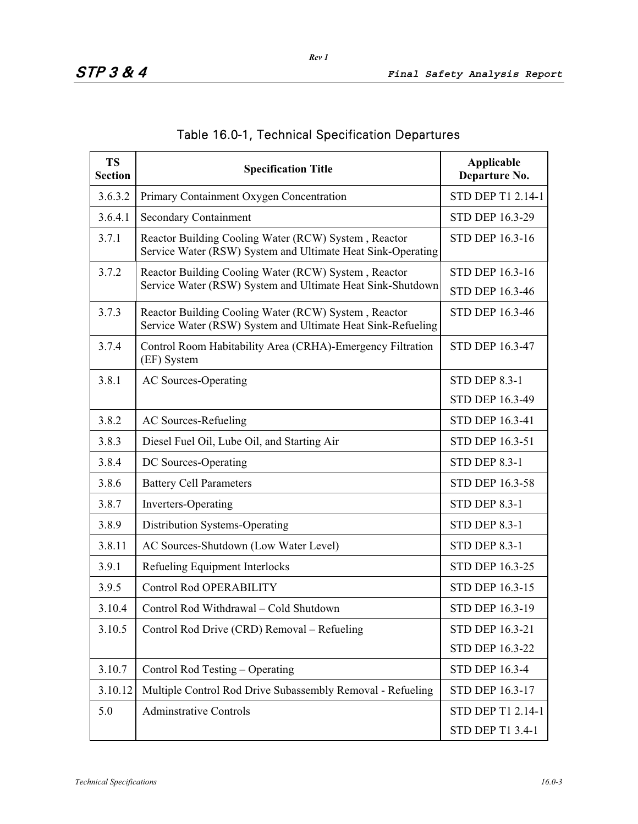| <b>TS</b><br><b>Section</b> | <b>Specification Title</b>                                                                                          | <b>Applicable</b><br>Departure No.               |
|-----------------------------|---------------------------------------------------------------------------------------------------------------------|--------------------------------------------------|
| 3.6.3.2                     | Primary Containment Oxygen Concentration                                                                            | STD DEP T1 2.14-1                                |
| 3.6.4.1                     | <b>Secondary Containment</b>                                                                                        | <b>STD DEP 16.3-29</b>                           |
| 3.7.1                       | Reactor Building Cooling Water (RCW) System, Reactor<br>Service Water (RSW) System and Ultimate Heat Sink-Operating | <b>STD DEP 16.3-16</b>                           |
| 3.7.2                       | Reactor Building Cooling Water (RCW) System, Reactor<br>Service Water (RSW) System and Ultimate Heat Sink-Shutdown  | <b>STD DEP 16.3-16</b><br><b>STD DEP 16.3-46</b> |
| 3.7.3                       | Reactor Building Cooling Water (RCW) System, Reactor<br>Service Water (RSW) System and Ultimate Heat Sink-Refueling | <b>STD DEP 16.3-46</b>                           |
| 3.7.4                       | Control Room Habitability Area (CRHA)-Emergency Filtration<br>(EF) System                                           | <b>STD DEP 16.3-47</b>                           |
| 3.8.1                       | <b>AC Sources-Operating</b>                                                                                         | <b>STD DEP 8.3-1</b><br>STD DEP 16.3-49          |
| 3.8.2                       | <b>AC Sources-Refueling</b>                                                                                         | STD DEP 16.3-41                                  |
| 3.8.3                       | Diesel Fuel Oil, Lube Oil, and Starting Air                                                                         | <b>STD DEP 16.3-51</b>                           |
| 3.8.4                       | DC Sources-Operating                                                                                                | <b>STD DEP 8.3-1</b>                             |
| 3.8.6                       | <b>Battery Cell Parameters</b>                                                                                      | STD DEP 16.3-58                                  |
| 3.8.7                       | <b>Inverters-Operating</b>                                                                                          | <b>STD DEP 8.3-1</b>                             |
| 3.8.9                       | Distribution Systems-Operating                                                                                      | <b>STD DEP 8.3-1</b>                             |
| 3.8.11                      | AC Sources-Shutdown (Low Water Level)                                                                               | <b>STD DEP 8.3-1</b>                             |
| 3.9.1                       | Refueling Equipment Interlocks                                                                                      | <b>STD DEP 16.3-25</b>                           |
| 3.9.5                       | <b>Control Rod OPERABILITY</b>                                                                                      | <b>STD DEP 16.3-15</b>                           |
| 3.10.4                      | Control Rod Withdrawal - Cold Shutdown                                                                              | STD DEP 16.3-19                                  |
| 3.10.5                      | Control Rod Drive (CRD) Removal – Refueling                                                                         | STD DEP 16.3-21                                  |
|                             |                                                                                                                     | STD DEP 16.3-22                                  |
| 3.10.7                      | Control Rod Testing – Operating                                                                                     | <b>STD DEP 16.3-4</b>                            |
| 3.10.12                     | Multiple Control Rod Drive Subassembly Removal - Refueling                                                          | STD DEP 16.3-17                                  |
| 5.0                         | <b>Adminstrative Controls</b>                                                                                       | STD DEP T1 2.14-1                                |
|                             |                                                                                                                     | STD DEP T1 3.4-1                                 |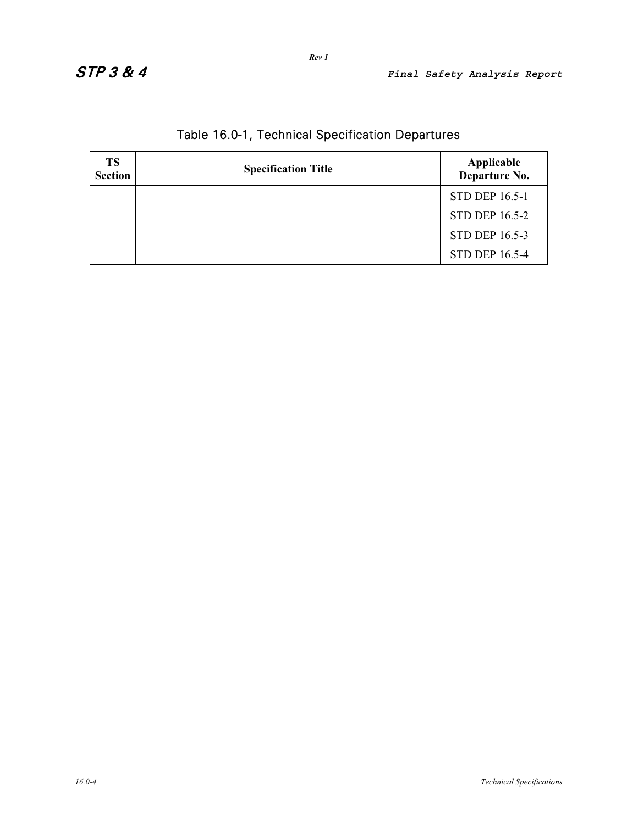| <b>TS</b><br><b>Section</b> | <b>Specification Title</b> | Applicable<br>Departure No. |
|-----------------------------|----------------------------|-----------------------------|
|                             |                            | <b>STD DEP 16.5-1</b>       |
|                             |                            | <b>STD DEP 16.5-2</b>       |
|                             |                            | <b>STD DEP 16.5-3</b>       |
|                             |                            | <b>STD DEP 16.5-4</b>       |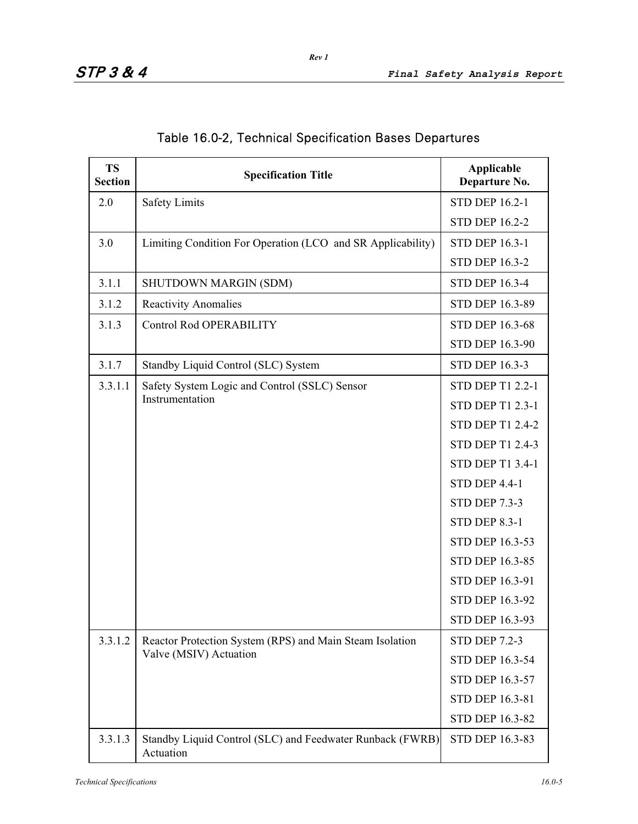| <b>TS</b><br><b>Section</b> | <b>Specification Title</b>                                             | Applicable<br>Departure No. |
|-----------------------------|------------------------------------------------------------------------|-----------------------------|
| 2.0                         | <b>Safety Limits</b>                                                   | <b>STD DEP 16.2-1</b>       |
|                             |                                                                        | <b>STD DEP 16.2-2</b>       |
| 3.0                         | Limiting Condition For Operation (LCO and SR Applicability)            | <b>STD DEP 16.3-1</b>       |
|                             |                                                                        | <b>STD DEP 16.3-2</b>       |
| 3.1.1                       | SHUTDOWN MARGIN (SDM)                                                  | <b>STD DEP 16.3-4</b>       |
| 3.1.2                       | <b>Reactivity Anomalies</b>                                            | STD DEP 16.3-89             |
| 3.1.3                       | <b>Control Rod OPERABILITY</b>                                         | STD DEP 16.3-68             |
|                             |                                                                        | STD DEP 16.3-90             |
| 3.1.7                       | Standby Liquid Control (SLC) System                                    | <b>STD DEP 16.3-3</b>       |
| 3.3.1.1                     | Safety System Logic and Control (SSLC) Sensor                          | STD DEP T1 2.2-1            |
|                             | Instrumentation                                                        | <b>STD DEP T1 2.3-1</b>     |
|                             |                                                                        | <b>STD DEP T1 2.4-2</b>     |
|                             |                                                                        | <b>STD DEP T1 2.4-3</b>     |
|                             |                                                                        | STD DEP T1 3.4-1            |
|                             |                                                                        | <b>STD DEP 4.4-1</b>        |
|                             |                                                                        | <b>STD DEP 7.3-3</b>        |
|                             |                                                                        | <b>STD DEP 8.3-1</b>        |
|                             |                                                                        | STD DEP 16.3-53             |
|                             |                                                                        | STD DEP 16.3-85             |
|                             |                                                                        | STD DEP 16.3-91             |
|                             |                                                                        | STD DEP 16.3-92             |
|                             |                                                                        | <b>STD DEP 16.3-93</b>      |
| 3.3.1.2                     | Reactor Protection System (RPS) and Main Steam Isolation               | <b>STD DEP 7.2-3</b>        |
|                             | Valve (MSIV) Actuation                                                 | STD DEP 16.3-54             |
|                             |                                                                        | STD DEP 16.3-57             |
|                             |                                                                        | STD DEP 16.3-81             |
|                             |                                                                        | STD DEP 16.3-82             |
| 3.3.1.3                     | Standby Liquid Control (SLC) and Feedwater Runback (FWRB)<br>Actuation | STD DEP 16.3-83             |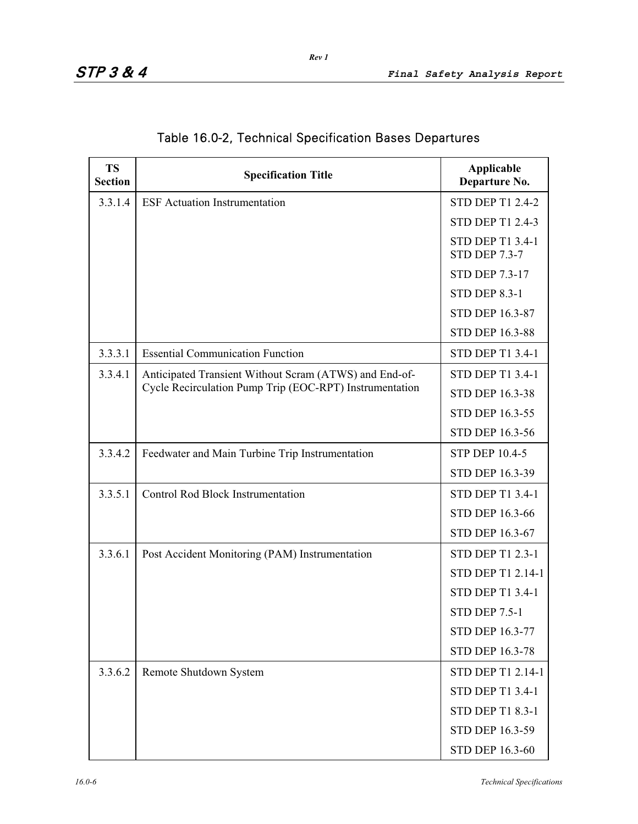| <b>TS</b><br><b>Section</b> | <b>Specification Title</b>                              | Applicable<br>Departure No.                     |
|-----------------------------|---------------------------------------------------------|-------------------------------------------------|
| 3.3.1.4                     | <b>ESF</b> Actuation Instrumentation                    | <b>STD DEP T1 2.4-2</b>                         |
|                             |                                                         | <b>STD DEP T1 2.4-3</b>                         |
|                             |                                                         | <b>STD DEP T1 3.4-1</b><br><b>STD DEP 7.3-7</b> |
|                             |                                                         | <b>STD DEP 7.3-17</b>                           |
|                             |                                                         | <b>STD DEP 8.3-1</b>                            |
|                             |                                                         | STD DEP 16.3-87                                 |
|                             |                                                         | <b>STD DEP 16.3-88</b>                          |
| 3.3.3.1                     | <b>Essential Communication Function</b>                 | <b>STD DEP T1 3.4-1</b>                         |
| 3.3.4.1                     | Anticipated Transient Without Scram (ATWS) and End-of-  | <b>STD DEP T1 3.4-1</b>                         |
|                             | Cycle Recirculation Pump Trip (EOC-RPT) Instrumentation | <b>STD DEP 16.3-38</b>                          |
|                             |                                                         | <b>STD DEP 16.3-55</b>                          |
|                             |                                                         | STD DEP 16.3-56                                 |
| 3.3.4.2                     | Feedwater and Main Turbine Trip Instrumentation         | <b>STP DEP 10.4-5</b>                           |
|                             |                                                         | STD DEP 16.3-39                                 |
| 3.3.5.1                     | <b>Control Rod Block Instrumentation</b>                | <b>STD DEP T1 3.4-1</b>                         |
|                             |                                                         | <b>STD DEP 16.3-66</b>                          |
|                             |                                                         | STD DEP 16.3-67                                 |
| 3.3.6.1                     | Post Accident Monitoring (PAM) Instrumentation          | <b>STD DEP T1 2.3-1</b>                         |
|                             |                                                         | <b>STD DEP T1 2.14-1</b>                        |
|                             |                                                         | <b>STD DEP T1 3.4-1</b>                         |
|                             |                                                         | <b>STD DEP 7.5-1</b>                            |
|                             |                                                         | <b>STD DEP 16.3-77</b>                          |
|                             |                                                         | <b>STD DEP 16.3-78</b>                          |
| 3.3.6.2                     | Remote Shutdown System                                  | STD DEP T1 2.14-1                               |
|                             |                                                         | <b>STD DEP T1 3.4-1</b>                         |
|                             |                                                         | <b>STD DEP T1 8.3-1</b>                         |
|                             |                                                         | STD DEP 16.3-59                                 |
|                             |                                                         | STD DEP 16.3-60                                 |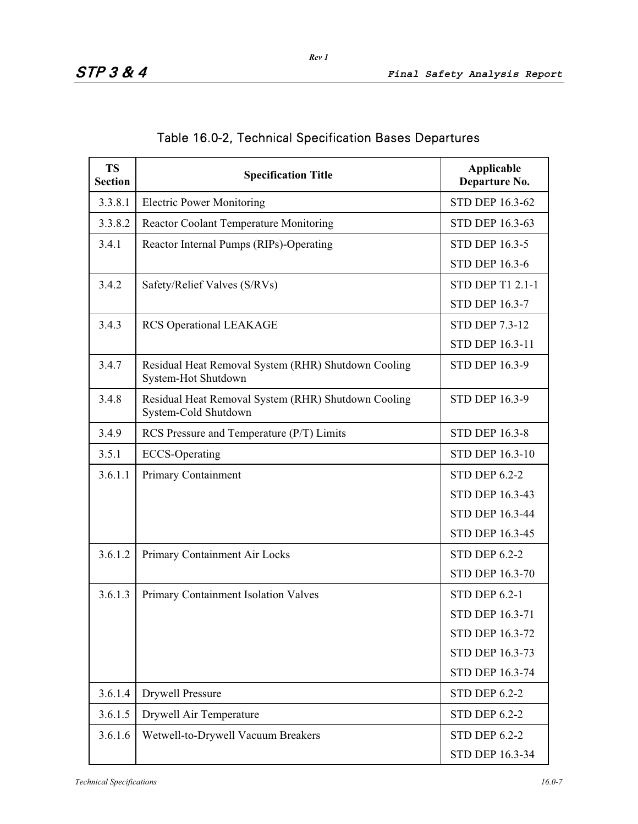| <b>TS</b><br><b>Section</b> | <b>Specification Title</b>                                                  | Applicable<br>Departure No. |
|-----------------------------|-----------------------------------------------------------------------------|-----------------------------|
| 3.3.8.1                     | <b>Electric Power Monitoring</b>                                            | <b>STD DEP 16.3-62</b>      |
| 3.3.8.2                     | Reactor Coolant Temperature Monitoring                                      | <b>STD DEP 16.3-63</b>      |
| 3.4.1                       | Reactor Internal Pumps (RIPs)-Operating                                     | <b>STD DEP 16.3-5</b>       |
|                             |                                                                             | <b>STD DEP 16.3-6</b>       |
| 3.4.2                       | Safety/Relief Valves (S/RVs)                                                | <b>STD DEP T1 2.1-1</b>     |
|                             |                                                                             | <b>STD DEP 16.3-7</b>       |
| 3.4.3                       | <b>RCS Operational LEAKAGE</b>                                              | <b>STD DEP 7.3-12</b>       |
|                             |                                                                             | STD DEP 16.3-11             |
| 3.4.7                       | Residual Heat Removal System (RHR) Shutdown Cooling<br>System-Hot Shutdown  | <b>STD DEP 16.3-9</b>       |
| 3.4.8                       | Residual Heat Removal System (RHR) Shutdown Cooling<br>System-Cold Shutdown | <b>STD DEP 16.3-9</b>       |
| 3.4.9                       | RCS Pressure and Temperature (P/T) Limits                                   | <b>STD DEP 16.3-8</b>       |
| 3.5.1                       | <b>ECCS-Operating</b>                                                       | <b>STD DEP 16.3-10</b>      |
| 3.6.1.1                     | Primary Containment                                                         | <b>STD DEP 6.2-2</b>        |
|                             |                                                                             | STD DEP 16.3-43             |
|                             |                                                                             | <b>STD DEP 16.3-44</b>      |
|                             |                                                                             | STD DEP 16.3-45             |
| 3.6.1.2                     | Primary Containment Air Locks                                               | <b>STD DEP 6.2-2</b>        |
|                             |                                                                             | <b>STD DEP 16.3-70</b>      |
| 3.6.1.3                     | Primary Containment Isolation Valves                                        | <b>STD DEP 6.2-1</b>        |
|                             |                                                                             | <b>STD DEP 16.3-71</b>      |
|                             |                                                                             | STD DEP 16.3-72             |
|                             |                                                                             | <b>STD DEP 16.3-73</b>      |
|                             |                                                                             | STD DEP 16.3-74             |
| 3.6.1.4                     | <b>Drywell Pressure</b>                                                     | <b>STD DEP 6.2-2</b>        |
| 3.6.1.5                     | Drywell Air Temperature                                                     | <b>STD DEP 6.2-2</b>        |
| 3.6.1.6                     | Wetwell-to-Drywell Vacuum Breakers                                          | <b>STD DEP 6.2-2</b>        |
|                             |                                                                             | STD DEP 16.3-34             |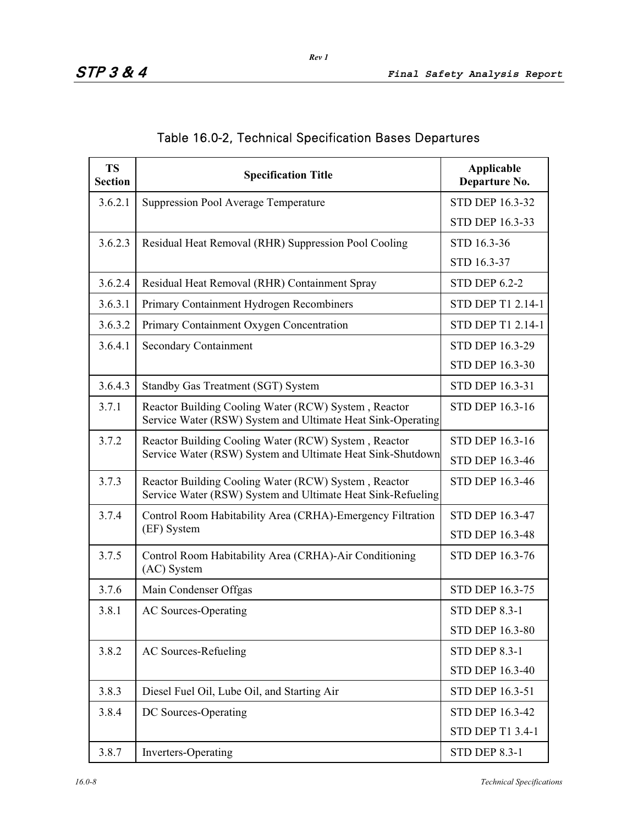| <b>TS</b><br><b>Section</b> | <b>Specification Title</b>                                                                                          | Applicable<br>Departure No. |
|-----------------------------|---------------------------------------------------------------------------------------------------------------------|-----------------------------|
| 3.6.2.1                     | <b>Suppression Pool Average Temperature</b>                                                                         | <b>STD DEP 16.3-32</b>      |
|                             |                                                                                                                     | STD DEP 16.3-33             |
| 3.6.2.3                     | Residual Heat Removal (RHR) Suppression Pool Cooling                                                                | STD 16.3-36                 |
|                             |                                                                                                                     | STD 16.3-37                 |
| 3.6.2.4                     | Residual Heat Removal (RHR) Containment Spray                                                                       | <b>STD DEP 6.2-2</b>        |
| 3.6.3.1                     | Primary Containment Hydrogen Recombiners                                                                            | STD DEP T1 2.14-1           |
| 3.6.3.2                     | Primary Containment Oxygen Concentration                                                                            | STD DEP T1 2.14-1           |
| 3.6.4.1                     | <b>Secondary Containment</b>                                                                                        | <b>STD DEP 16.3-29</b>      |
|                             |                                                                                                                     | STD DEP 16.3-30             |
| 3.6.4.3                     | <b>Standby Gas Treatment (SGT) System</b>                                                                           | <b>STD DEP 16.3-31</b>      |
| 3.7.1                       | Reactor Building Cooling Water (RCW) System, Reactor<br>Service Water (RSW) System and Ultimate Heat Sink-Operating | <b>STD DEP 16.3-16</b>      |
| 3.7.2                       | Reactor Building Cooling Water (RCW) System, Reactor                                                                | <b>STD DEP 16.3-16</b>      |
|                             | Service Water (RSW) System and Ultimate Heat Sink-Shutdown                                                          | <b>STD DEP 16.3-46</b>      |
| 3.7.3                       | Reactor Building Cooling Water (RCW) System, Reactor<br>Service Water (RSW) System and Ultimate Heat Sink-Refueling | <b>STD DEP 16.3-46</b>      |
| 3.7.4                       | Control Room Habitability Area (CRHA)-Emergency Filtration                                                          | <b>STD DEP 16.3-47</b>      |
|                             | (EF) System                                                                                                         | STD DEP 16.3-48             |
| 3.7.5                       | Control Room Habitability Area (CRHA)-Air Conditioning<br>(AC) System                                               | <b>STD DEP 16.3-76</b>      |
| 3.7.6                       | Main Condenser Offgas                                                                                               | STD DEP 16.3-75             |
| 3.8.1                       | <b>AC Sources-Operating</b>                                                                                         | <b>STD DEP 8.3-1</b>        |
|                             |                                                                                                                     | STD DEP 16.3-80             |
| 3.8.2                       | <b>AC Sources-Refueling</b>                                                                                         | <b>STD DEP 8.3-1</b>        |
|                             |                                                                                                                     | STD DEP 16.3-40             |
| 3.8.3                       | Diesel Fuel Oil, Lube Oil, and Starting Air                                                                         | STD DEP 16.3-51             |
| 3.8.4                       | DC Sources-Operating                                                                                                | STD DEP 16.3-42             |
|                             |                                                                                                                     | <b>STD DEP T1 3.4-1</b>     |
| 3.8.7                       | Inverters-Operating                                                                                                 | <b>STD DEP 8.3-1</b>        |